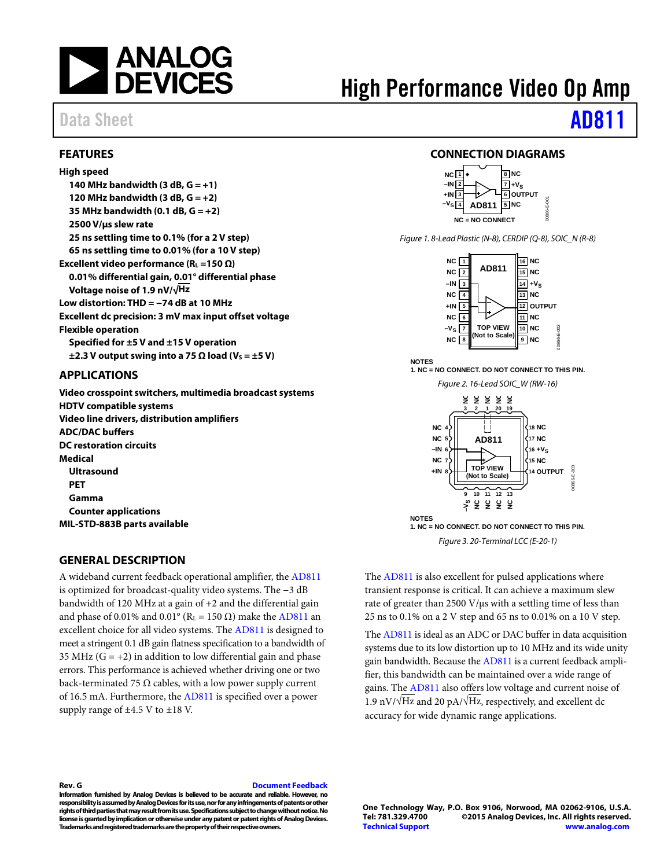

## <span id="page-0-0"></span>**FEATURES**

**High speed 140 MHz bandwidth (3 dB, G = +1)** 120 MHz bandwidth  $(3 dB, G = +2)$ **35 MHz bandwidth (0.1 dB, G = +2) 2500 V/µs slew rate 25 ns settling time to 0.1% (for a 2 V step) 65 ns settling time to 0.01% (for a 10 V step) Excellent video performance (RL =150 Ω) 0.01% differential gain, 0.01° differential phase Voltage noise of 1.9 nV/√Hz Low distortion: THD = −74 dB at 10 MHz Excellent dc precision: 3 mV max input offset voltage Flexible operation Specified for ±5 V and ±15 V operation**  $\pm$ 2.3 V output swing into a 75  $\Omega$  load (V<sub>s</sub> =  $\pm$ 5 V)

### <span id="page-0-1"></span>**APPLICATIONS**

**Video crosspoint switchers, multimedia broadcast systems HDTV compatible systems Video line drivers, distribution amplifiers ADC/DAC buffers DC restoration circuits Medical Ultrasound PET Gamma Counter applications MIL-STD-883B parts available**

## <span id="page-0-3"></span>**GENERAL DESCRIPTION**

A wideband current feedback operational amplifier, the [AD811](http://www.analog.com/AD811?doc=AD811.pdf) is optimized for broadcast-quality video systems. The −3 dB bandwidth of 120 MHz at a gain of +2 and the differential gain and phase of 0.01% and  $0.01^{\circ}$  (R<sub>L</sub> = 150  $\Omega$ ) make th[e AD811](http://www.analog.com/AD811?doc=AD811.pdf) an excellent choice for all video systems. The [AD811](http://www.analog.com/AD811?doc=AD811.pdf) is designed to meet a stringent 0.1 dB gain flatness specification to a bandwidth of 35 MHz  $(G = +2)$  in addition to low differential gain and phase errors. This performance is achieved whether driving one or two back-terminated 75  $\Omega$  cables, with a low power supply current of 16.5 mA. Furthermore, the [AD811](http://www.analog.com/AD811?doc=AD811.pdf) is specified over a power supply range of ±4.5 V to ±18 V.

## <span id="page-0-2"></span>**CONNECTION DIAGRAMS**

High Performance Video Op Amp



*Figure 1. 8-Lead Plastic (N-8), CERDIP (Q-8), SOIC\_N (R-8)*



*Figure 2. 16-Lead SOIC\_W (RW-16)*  **NOTES 1. NC = NO CONNECT. DO NOT CONNECT TO THIS PIN.**



*Figure 3. 20-Terminal LCC (E-20-1)*  **1. NC = NO CONNECT. DO NOT CONNECT TO THIS PIN.**

The [AD811](http://www.analog.com/AD811?doc=AD811.pdf) is also excellent for pulsed applications where transient response is critical. It can achieve a maximum slew rate of greater than 2500 V/µs with a settling time of less than 25 ns to 0.1% on a 2 V step and 65 ns to 0.01% on a 10 V step.

Th[e AD811](http://www.analog.com/AD811?doc=AD811.pdf) is ideal as an ADC or DAC buffer in data acquisition systems due to its low distortion up to 10 MHz and its wide unity gain bandwidth. Because the [AD811](http://www.analog.com/AD811?doc=AD811.pdf) is a current feedback amplifier, this bandwidth can be maintained over a wide range of gains. The [AD811](http://www.analog.com/AD811?doc=AD811.pdf) also offers low voltage and current noise of 1.9 nV/ $\sqrt{Hz}$  and 20 pA/ $\sqrt{Hz}$ , respectively, and excellent dc accuracy for wide dynamic range applications.

### **Rev. G [Document Feedback](https://form.analog.com/Form_Pages/feedback/documentfeedback.aspx?doc=AD811.pdf&product=AD811&rev=G)**

**Information furnished by Analog Devices is believed to be accurate and reliable. However, no responsibility is assumed by Analog Devices for its use, nor for any infringements of patents or other rights of third parties that may result from its use. Specifications subject to change without notice. No license is granted by implication or otherwise under any patent or patent rights of Analog Devices. Trademarks and registered trademarks are the property of their respective owners.**

**One Technology Way, P.O. Box 9106, Norwood, MA 02062-9106, U.S.A. Tel: 781.329.4700 ©2015 Analog Devices, Inc. All rights reserved. [Technical Support](http://www.analog.com/en/content/technical_support_page/fca.html) [www.analog.com](http://www.analog.com/)**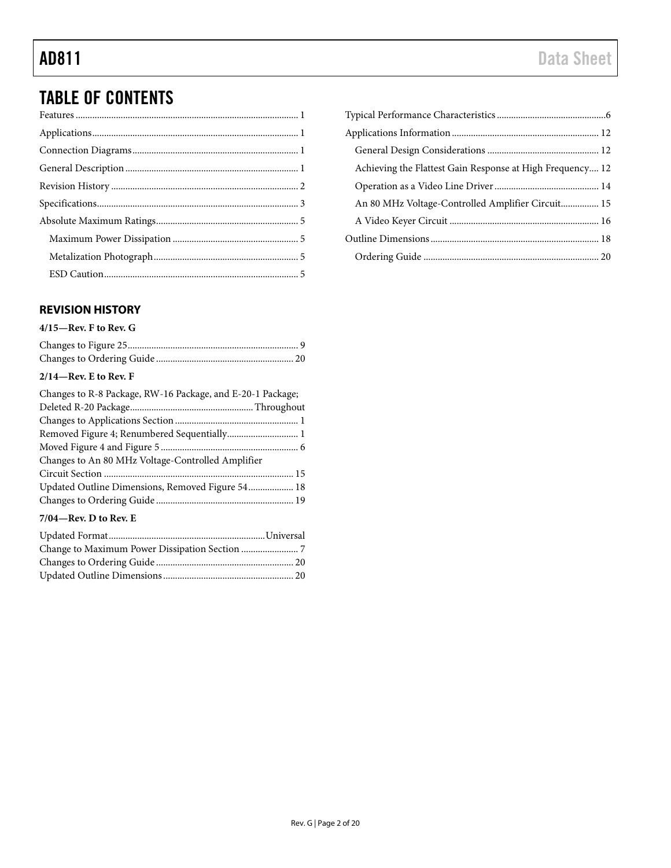# TABLE OF CONTENTS

## <span id="page-1-0"></span>**REVISION HISTORY**

## **4/15—Rev. F to Rev. G**

## **2/14—Rev. E to Rev. F**

| Changes to R-8 Package, RW-16 Package, and E-20-1 Package; |  |
|------------------------------------------------------------|--|
|                                                            |  |
|                                                            |  |
| Removed Figure 4; Renumbered Sequentially 1                |  |
|                                                            |  |
| Changes to An 80 MHz Voltage-Controlled Amplifier          |  |
|                                                            |  |
| Updated Outline Dimensions, Removed Figure 54 18           |  |
|                                                            |  |
| $7/04$ —Rev. D to Rev. E                                   |  |
|                                                            |  |

| Achieving the Flattest Gain Response at High Frequency 12 |
|-----------------------------------------------------------|
|                                                           |
| An 80 MHz Voltage-Controlled Amplifier Circuit 15         |
|                                                           |
|                                                           |
|                                                           |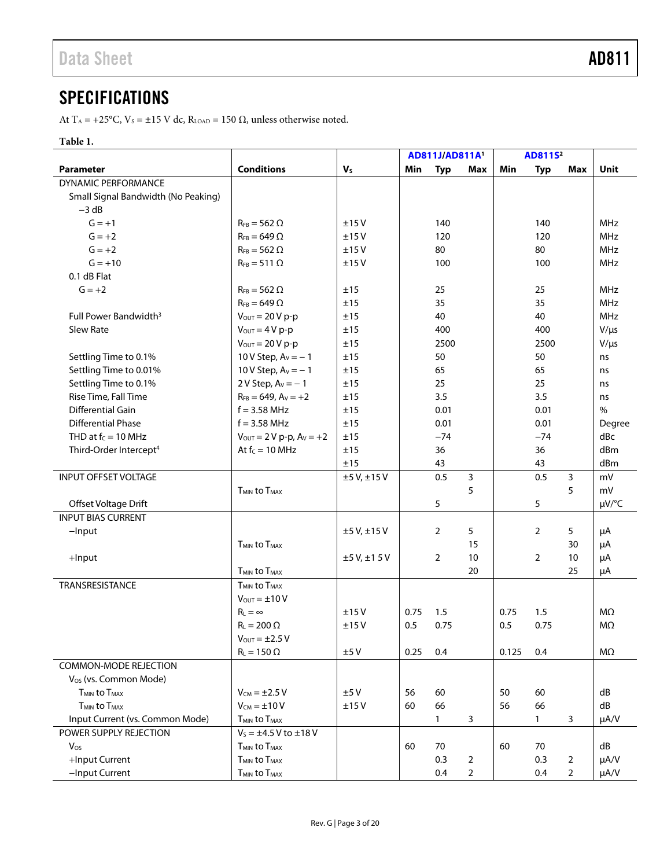# <span id="page-2-0"></span>**SPECIFICATIONS**

At T<sub>A</sub> = +25°C, V<sub>s</sub> = ±15 V dc, R<sub>LOAD</sub> = 150  $\Omega$ , unless otherwise noted.

## **Table 1.**

|                                            |                                            |                |      | AD811J/AD811A1 |                |       | AD811S <sup>2</sup> |                |               |
|--------------------------------------------|--------------------------------------------|----------------|------|----------------|----------------|-------|---------------------|----------------|---------------|
| <b>Parameter</b>                           | <b>Conditions</b>                          | V <sub>s</sub> | Min  | <b>Typ</b>     | Max            | Min   | <b>Typ</b>          | Max            | Unit          |
| <b>DYNAMIC PERFORMANCE</b>                 |                                            |                |      |                |                |       |                     |                |               |
| Small Signal Bandwidth (No Peaking)        |                                            |                |      |                |                |       |                     |                |               |
| $-3 dB$                                    |                                            |                |      |                |                |       |                     |                |               |
| $G = +1$                                   | $R_{FB} = 562 \Omega$                      | ±15V           |      | 140            |                |       | 140                 |                | <b>MHz</b>    |
| $G = +2$                                   | $R_{FB} = 649 \Omega$                      | ±15V           |      | 120            |                |       | 120                 |                | <b>MHz</b>    |
| $G = +2$                                   | $R_{FB} = 562 \Omega$                      | ±15V           |      | 80             |                |       | 80                  |                | <b>MHz</b>    |
| $G = +10$                                  | $R_{FB} = 511 \Omega$                      | ±15V           |      | 100            |                |       | 100                 |                | <b>MHz</b>    |
| 0.1 dB Flat                                |                                            |                |      |                |                |       |                     |                |               |
| $G = +2$                                   | $R_{FB} = 562 \Omega$                      | ±15            |      | 25             |                |       | 25                  |                | MHz           |
|                                            | $R_{FB} = 649 \Omega$                      | ±15            |      | 35             |                |       | 35                  |                | MHz           |
| Full Power Bandwidth <sup>3</sup>          | $V_{\text{OUT}} = 20 V p-p$                | ±15            |      | 40             |                |       | 40                  |                | <b>MHz</b>    |
| Slew Rate                                  | $V_{\text{OUT}} = 4 V p-p$                 | ±15            |      | 400            |                |       | 400                 |                | $V/\mu s$     |
|                                            | $V_{\text{OUT}} = 20 V p-p$                | ±15            |      | 2500           |                |       | 2500                |                | $V/\mu s$     |
| Settling Time to 0.1%                      | 10 V Step, $A_V = -1$                      | ±15            |      | 50             |                |       | 50                  |                | ns            |
| Settling Time to 0.01%                     | 10 V Step, $A_V = -1$                      | ±15            |      | 65             |                |       | 65                  |                | ns            |
| Settling Time to 0.1%                      | 2 V Step, $A_V = -1$                       | ±15            |      | 25             |                |       | 25                  |                | ns            |
| Rise Time, Fall Time                       | $R_{FB} = 649$ , $A_V = +2$                | ±15            |      | 3.5            |                |       | 3.5                 |                | ns            |
| Differential Gain                          | $f = 3.58$ MHz                             | ±15            |      | 0.01           |                |       | 0.01                |                | $\frac{0}{0}$ |
| <b>Differential Phase</b>                  | $f = 3.58$ MHz                             | ±15            |      | 0.01           |                |       | 0.01                |                | Degree        |
| THD at $f_c = 10$ MHz                      | $V_{\text{OUT}} = 2 V p - p$ , $Av = +2$   | ±15            |      | $-74$          |                |       | $-74$               |                | dBc           |
| Third-Order Intercept <sup>4</sup>         | At $f_c = 10$ MHz                          | ±15            |      | 36             |                |       | 36                  |                | dBm           |
|                                            |                                            | ±15            |      | 43             |                |       | 43                  |                | dBm           |
| <b>INPUT OFFSET VOLTAGE</b>                |                                            | ±5 V, ±15 V    |      | 0.5            | 3              |       | 0.5                 | 3              | mV            |
|                                            | <b>T<sub>MIN</sub></b> to T <sub>MAX</sub> |                |      |                | 5              |       |                     | 5              | mV            |
| Offset Voltage Drift                       |                                            |                |      | 5              |                |       | 5                   |                | $\mu V$ /°C   |
| <b>INPUT BIAS CURRENT</b>                  |                                            |                |      |                |                |       |                     |                |               |
| $-$ Input                                  |                                            | ±5 V, ±15 V    |      | $\overline{2}$ | 5              |       | 2                   | 5              | μA            |
|                                            | <b>T<sub>MIN</sub></b> to T <sub>MAX</sub> |                |      |                | 15             |       |                     | 30             | μA            |
| +Input                                     |                                            | ±5 V, ±1 5 V   |      | 2              | 10             |       | 2                   | 10             | μA            |
|                                            | <b>TMIN to TMAX</b>                        |                |      |                | 20             |       |                     | 25             | μA            |
| TRANSRESISTANCE                            | <b>T<sub>MIN</sub></b> to T <sub>MAX</sub> |                |      |                |                |       |                     |                |               |
|                                            | $V_{\text{OUT}} = \pm 10 V$                |                |      |                |                |       |                     |                |               |
|                                            | $R_L = \infty$                             | ±15V           | 0.75 | 1.5            |                | 0.75  | 1.5                 |                | $M\Omega$     |
|                                            | $R_L = 200 \Omega$                         | ±15V           | 0.5  | 0.75           |                | 0.5   | 0.75                |                | $M\Omega$     |
|                                            | $V_{\text{OUT}} = \pm 2.5 V$               |                |      |                |                |       |                     |                |               |
|                                            | $R_L = 150 \Omega$                         | ±5V            | 0.25 | 0.4            |                | 0.125 | 0.4                 |                | ΜΩ            |
| <b>COMMON-MODE REJECTION</b>               |                                            |                |      |                |                |       |                     |                |               |
| V <sub>os</sub> (vs. Common Mode)          |                                            |                |      |                |                |       |                     |                |               |
| <b>T<sub>MIN</sub></b> to T <sub>MAX</sub> | $V_{CM} = \pm 2.5 V$                       | ±5V            | 56   | 60             |                | 50    | 60                  |                | dB            |
| <b>T<sub>MIN</sub></b> to T <sub>MAX</sub> | $V_{CM} = \pm 10 V$                        | ±15V           | 60   | 66             |                | 56    | 66                  |                | dB            |
| Input Current (vs. Common Mode)            | <b>T<sub>MIN</sub></b> to T <sub>MAX</sub> |                |      | $\mathbf{1}$   | 3              |       | $\mathbf{1}$        | 3              | $\mu A/V$     |
| POWER SUPPLY REJECTION                     | $V_s = \pm 4.5 V$ to $\pm 18 V$            |                |      |                |                |       |                     |                |               |
| $V_{OS}$                                   | T <sub>MIN</sub> to T <sub>MAX</sub>       |                | 60   | 70             |                | 60    | 70                  |                | dB            |
| +Input Current                             | <b>T<sub>MIN</sub></b> to T <sub>MAX</sub> |                |      | 0.3            | $\overline{2}$ |       | 0.3                 | $\overline{2}$ | $\mu A/V$     |
| -Input Current                             | T <sub>MIN</sub> to T <sub>MAX</sub>       |                |      | 0.4            | $\overline{2}$ |       | 0.4                 | $\overline{2}$ | $\mu A/V$     |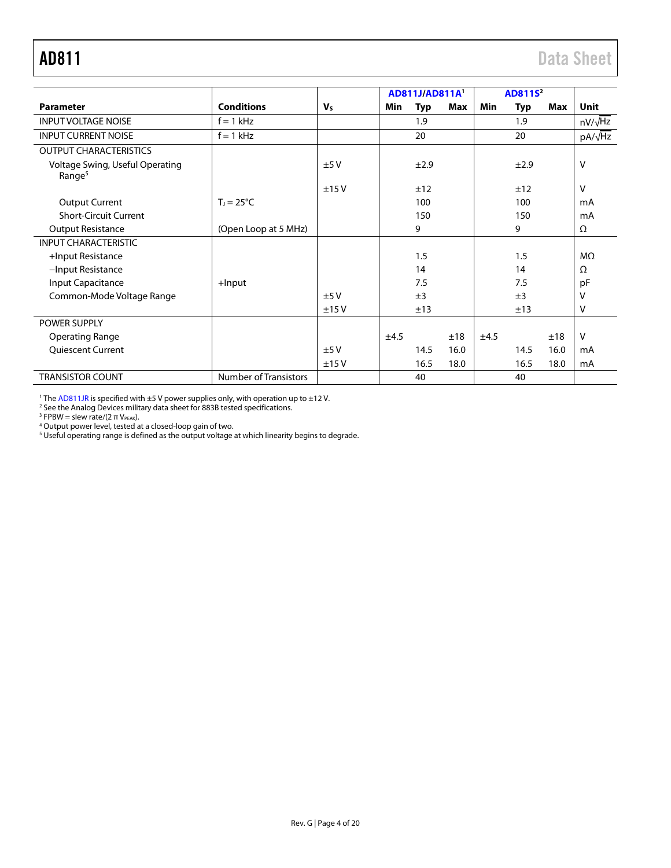<span id="page-3-0"></span>

|                                                       |                              |                |      | AD811J/AD811A1 |      |      | AD811S <sup>2</sup> |      |                |
|-------------------------------------------------------|------------------------------|----------------|------|----------------|------|------|---------------------|------|----------------|
| <b>Parameter</b>                                      | <b>Conditions</b>            | V <sub>s</sub> | Min  | <b>Typ</b>     | Max  | Min  | Typ                 | Max  | <b>Unit</b>    |
| <b>INPUT VOLTAGE NOISE</b>                            | $f = 1$ kHz                  |                |      | 1.9            |      |      | 1.9                 |      | $nV/\sqrt{Hz}$ |
| <b>INPUT CURRENT NOISE</b>                            | $f = 1$ kHz                  |                |      | 20             |      |      | 20                  |      | $pA/\sqrt{Hz}$ |
| <b>OUTPUT CHARACTERISTICS</b>                         |                              |                |      |                |      |      |                     |      |                |
| Voltage Swing, Useful Operating<br>Range <sup>5</sup> |                              | ±5V            |      | ±2.9           |      |      | ±2.9                |      | $\vee$         |
|                                                       |                              | ±15V           |      | ±12            |      |      | ±12                 |      | V              |
| <b>Output Current</b>                                 | $T_1 = 25^{\circ}C$          |                |      | 100            |      |      | 100                 |      | mA             |
| <b>Short-Circuit Current</b>                          |                              |                |      | 150            |      |      | 150                 |      | mA             |
| <b>Output Resistance</b>                              | (Open Loop at 5 MHz)         |                |      | 9              |      |      | 9                   |      | Ω              |
| <b>INPUT CHARACTERISTIC</b>                           |                              |                |      |                |      |      |                     |      |                |
| +Input Resistance                                     |                              |                |      | 1.5            |      |      | 1.5                 |      | $M\Omega$      |
| -Input Resistance                                     |                              |                |      | 14             |      |      | 14                  |      | Ω              |
| Input Capacitance                                     | $+$ Input                    |                |      | 7.5            |      |      | 7.5                 |      | pF             |
| Common-Mode Voltage Range                             |                              | $+5V$          |      | ±3             |      |      | ±3                  |      | $\vee$         |
|                                                       |                              | ±15V           |      | ±13            |      |      | ±13                 |      | V              |
| <b>POWER SUPPLY</b>                                   |                              |                |      |                |      |      |                     |      |                |
| Operating Range                                       |                              |                | ±4.5 |                | ±18  | ±4.5 |                     | ±18  | V              |
| <b>Quiescent Current</b>                              |                              | ±5V            |      | 14.5           | 16.0 |      | 14.5                | 16.0 | mA             |
|                                                       |                              | ±15V           |      | 16.5           | 18.0 |      | 16.5                | 18.0 | mA             |
| <b>TRANSISTOR COUNT</b>                               | <b>Number of Transistors</b> |                |      | 40             |      |      | 40                  |      |                |

<sup>1</sup> Th[e AD811JR](http://www.analog.com/AD811?doc=AD811.pdf) is specified with  $\pm$ 5 V power supplies only, with operation up to  $\pm$ 12 V.

<sup>2</sup> See the Analog Devices military data sheet for 883B tested specifications.

<sup>3</sup> FPBW = slew rate/(2  $\pi$  V<sub>PEAK</sub>).

<sup>4</sup> Output power level, tested at a closed-loop gain of two.

 $^5$  Useful operating range is defined as the output voltage at which linearity begins to degrade.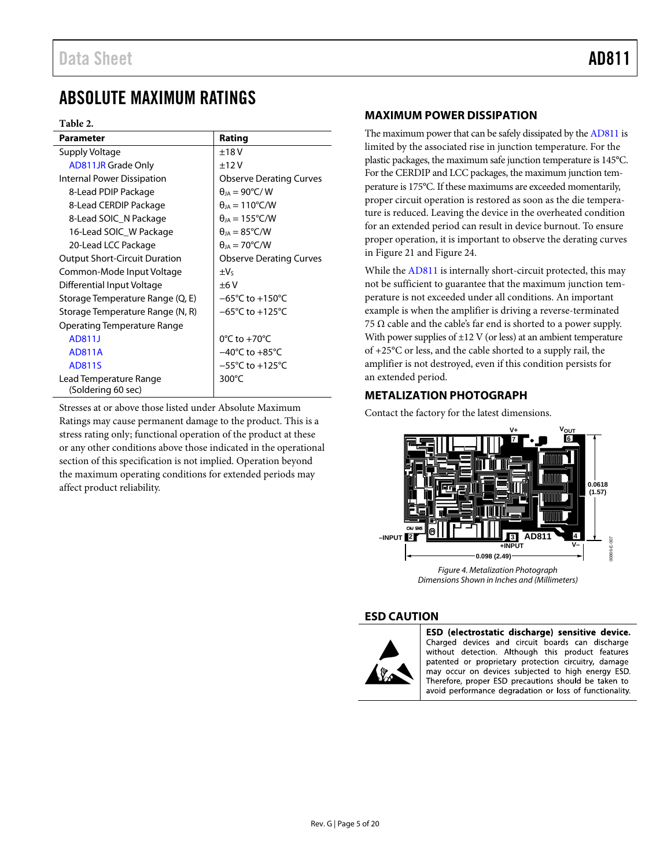## <span id="page-4-0"></span>ABSOLUTE MAXIMUM RATINGS

### **Table 2.**

| <b>Parameter</b>                             | Rating                               |
|----------------------------------------------|--------------------------------------|
| Supply Voltage                               | $+18V$                               |
| <b>AD811JR Grade Only</b>                    | ±12V                                 |
| <b>Internal Power Dissipation</b>            | <b>Observe Derating Curves</b>       |
| 8-Lead PDIP Package                          | $\theta_{IA}$ = 90°C/W               |
| 8-Lead CERDIP Package                        | $\theta_{IA} = 110^{\circ}$ C/W      |
| 8-Lead SOIC N Package                        | $\theta_{IA} = 155^{\circ}$ C/W      |
| 16-Lead SOIC W Package                       | $\theta_{IA} = 85^{\circ}$ C/W       |
| 20-Lead LCC Package                          | $\theta_{IA} = 70^{\circ}$ C/W       |
| <b>Output Short-Circuit Duration</b>         | <b>Observe Derating Curves</b>       |
| Common-Mode Input Voltage                    | $\pm V_5$                            |
| Differential Input Voltage                   | ±6V                                  |
| Storage Temperature Range (Q, E)             | $-65^{\circ}$ C to $+150^{\circ}$ C  |
| Storage Temperature Range (N, R)             | $-65^{\circ}$ C to +125 $^{\circ}$ C |
| Operating Temperature Range                  |                                      |
| AD811J                                       | $0^{\circ}$ C to +70 $^{\circ}$ C    |
| AD811A                                       | $-40^{\circ}$ C to $+85^{\circ}$ C   |
| AD811S                                       | $-55^{\circ}$ C to $+125^{\circ}$ C  |
| Lead Temperature Range<br>(Soldering 60 sec) | 300°C                                |

Stresses at or above those listed under Absolute Maximum Ratings may cause permanent damage to the product. This is a stress rating only; functional operation of the product at these or any other conditions above those indicated in the operational section of this specification is not implied. Operation beyond the maximum operating conditions for extended periods may affect product reliability.

## <span id="page-4-1"></span>**MAXIMUM POWER DISSIPATION**

The maximum power that can be safely dissipated by th[e AD811](http://www.analog.com/AD811?doc=AD811.pdf) is limited by the associated rise in junction temperature. For the plastic packages, the maximum safe junction temperature is 145°C. For the CERDIP and LCC packages, the maximum junction temperature is 175°C. If these maximums are exceeded momentarily, proper circuit operation is restored as soon as the die temperature is reduced. Leaving the device in the overheated condition for an extended period can result in device burnout. To ensure proper operation, it is important to observe the derating curves in [Figure 21 a](#page-7-0)n[d Figure 24.](#page-8-0)

While th[e AD811 i](http://www.analog.com/AD811?doc=AD811.pdf)s internally short-circuit protected, this may not be sufficient to guarantee that the maximum junction temperature is not exceeded under all conditions. An important example is when the amplifier is driving a reverse-terminated 75  $\Omega$  cable and the cable's far end is shorted to a power supply. With power supplies of  $\pm$ 12 V (or less) at an ambient temperature of +25°C or less, and the cable shorted to a supply rail, the amplifier is not destroyed, even if this condition persists for an extended period.

## <span id="page-4-2"></span>**METALIZATION PHOTOGRAPH**

Contact the factory for the latest dimensions.



### <span id="page-4-3"></span>**ESD CAUTION**



ESD (electrostatic discharge) sensitive device. Charged devices and circuit boards can discharge without detection. Although this product features patented or proprietary protection circuitry, damage may occur on devices subjected to high energy ESD. Therefore, proper ESD precautions should be taken to avoid performance degradation or loss of functionality.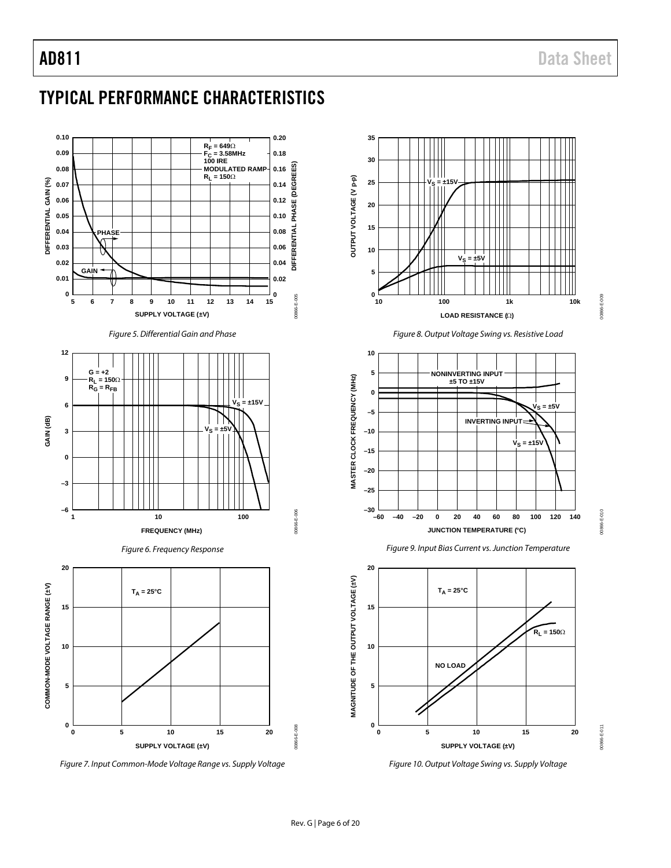# <span id="page-5-0"></span>TYPICAL PERFORMANCE CHARACTERISTICS



*Figure 7. Input Common-Mode Voltage Range vs. Supply Voltage*



*Figure 10. Output Voltage Swing vs. Supply Voltage* **SUPPLY VOLTAGE (±V)**

**0 5 10 15 20**

00866-E-011

00866-E-011

**0**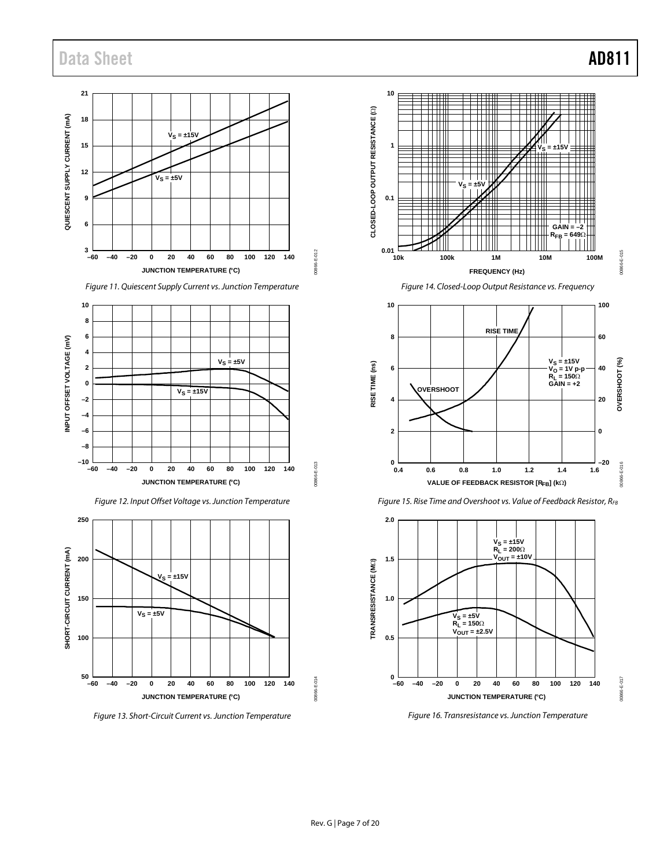

*Figure 11. Quiescent Supply Current vs. Junction Temperature*







*Figure 13. Short-Circuit Current vs. Junction Temperature*



*Figure 14. Closed-Loop Output Resistance vs. Frequency*





*Figure 15. Rise Time and Overshoot vs. Value of Feedback Resistor, RFB*

*Figure 16. Transresistance vs. Junction Temperature*

00866-E-017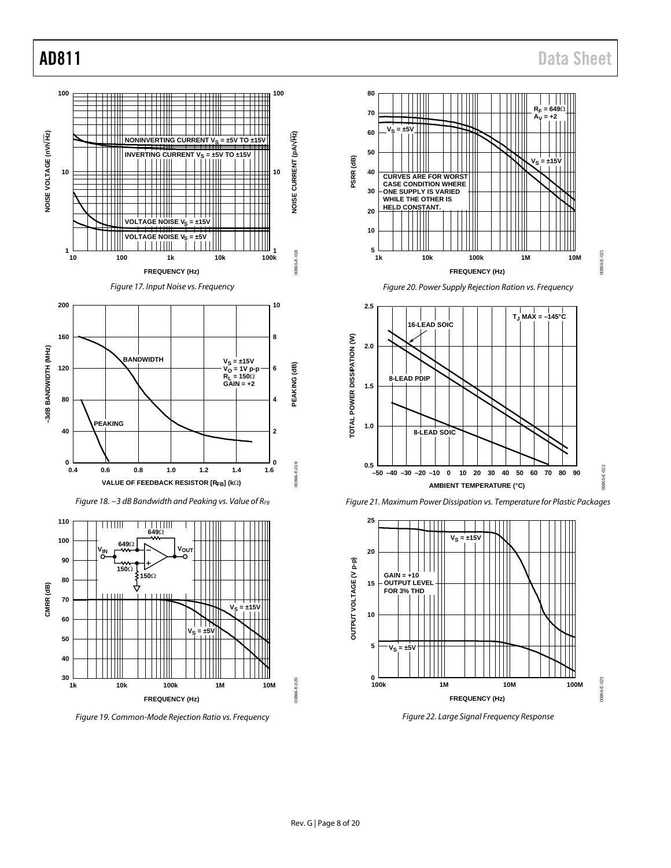<span id="page-7-2"></span><span id="page-7-1"></span><span id="page-7-0"></span>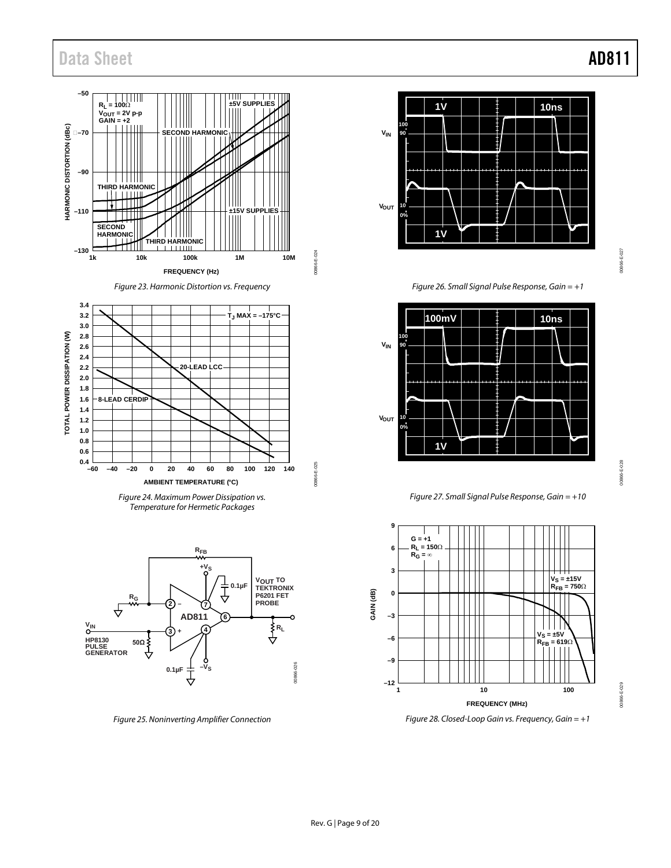

*Figure 23. Harmonic Distortion vs. Frequency*

00866-E-024

00866-E-025

00866-E-025





<span id="page-8-0"></span>

*Figure 25. Noninverting Amplifier Connection*



*Figure 26. Small Signal Pulse Response, Gain = +1*



00866-E-028 00866-E-028

00866-E-029

00866-E-029

*Figure 27. Small Signal Pulse Response, Gain = +10*

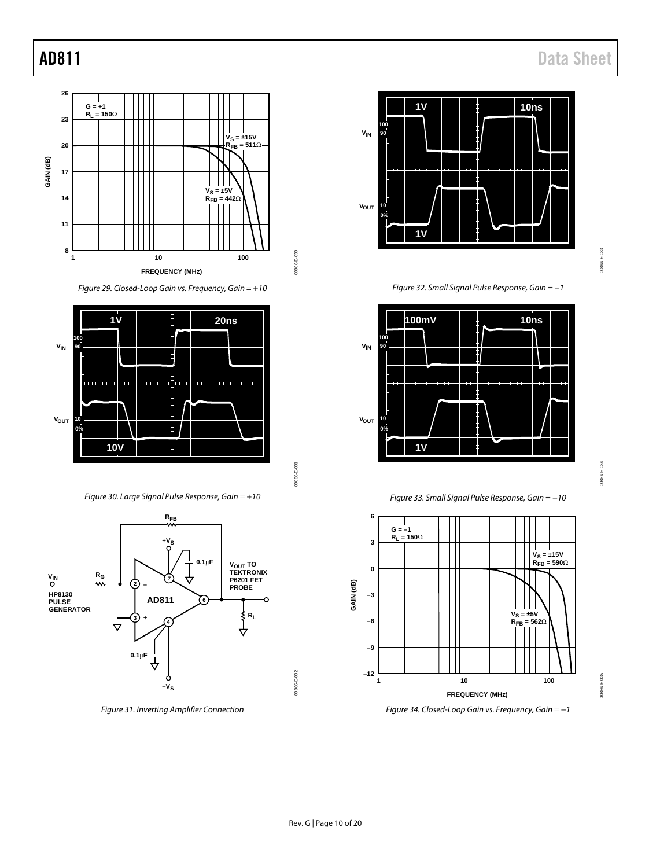

*Figure 29. Closed-Loop Gain vs. Frequency, Gain = +10*



00866-E-031 00866-E-031

00866-E-032

00866-E-032

00866-E-030

00866-E-030

*Figure 30. Large Signal Pulse Response, Gain = +10*



*Figure 31. Inverting Amplifier Connection*



0086-E-033 00866-E-033

*Figure 32. Small Signal Pulse Response, Gain = −1*



00866-E-034 00866-E-034

00866-E-035

00866-E-035

*Figure 33. Small Signal Pulse Response, Gain = −10*



*Figure 34. Closed-Loop Gain vs. Frequency, Gain = −1*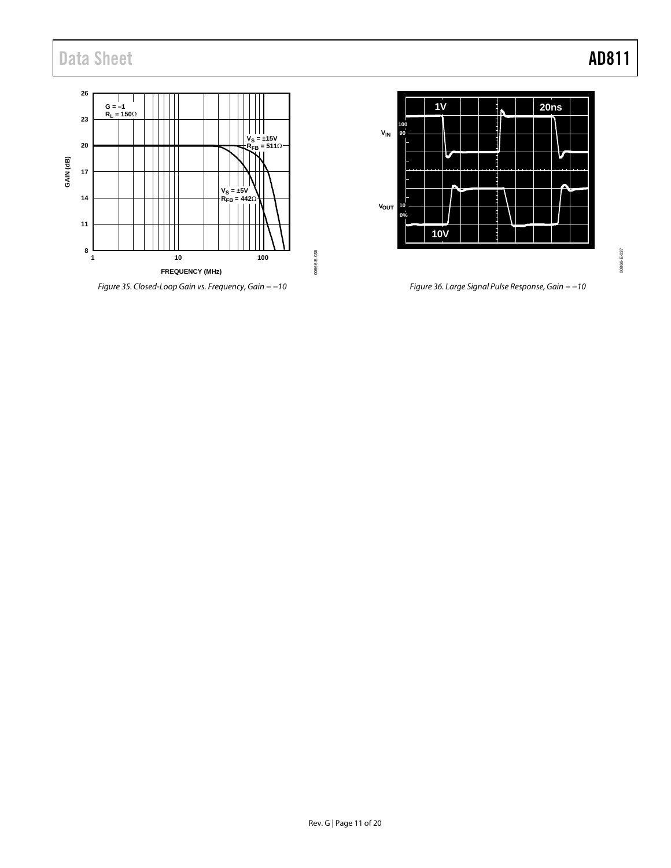

*Figure 35. Closed-Loop Gain vs. Frequency, Gain = −10 Figure 36. Large Signal Pulse Response, Gain = −10*



0086-E-037 00866-E-037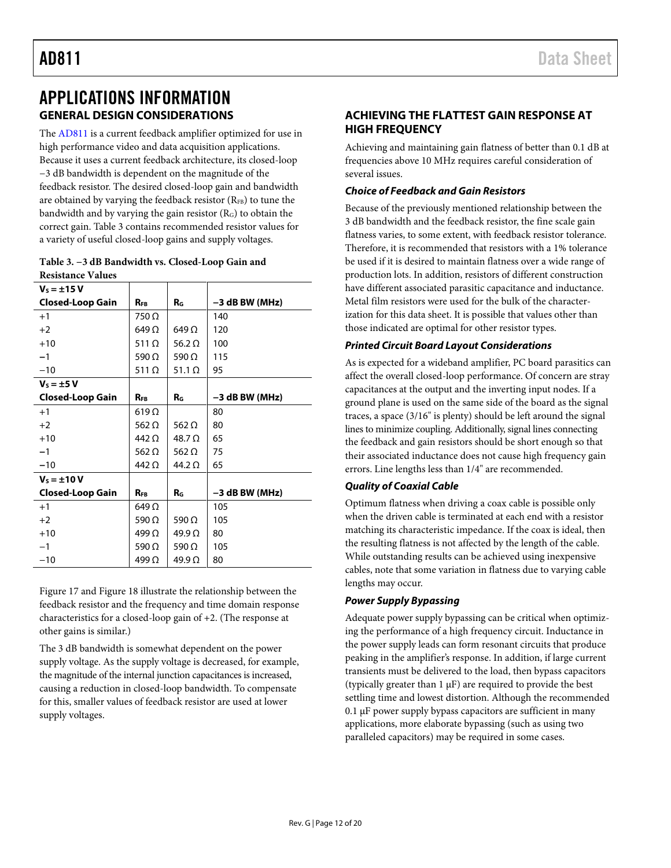## <span id="page-11-1"></span><span id="page-11-0"></span>APPLICATIONS INFORMATION **GENERAL DESIGN CONSIDERATIONS**

The [AD811](http://www.analog.com/AD811?doc=AD811.pdf) is a current feedback amplifier optimized for use in high performance video and data acquisition applications. Because it uses a current feedback architecture, its closed-loop −3 dB bandwidth is dependent on the magnitude of the feedback resistor. The desired closed-loop gain and bandwidth are obtained by varying the feedback resistor  $(R_{FB})$  to tune the bandwidth and by varying the gain resistor (RG) to obtain the correct gain[. Table 3](#page-11-3) contains recommended resistor values for a variety of useful closed-loop gains and supply voltages.

<span id="page-11-3"></span>

| Table 3. -3 dB Bandwidth vs. Closed-Loop Gain and |
|---------------------------------------------------|
| <b>Resistance Values</b>                          |

| $V_s = \pm 15 V$        |               |                |                  |
|-------------------------|---------------|----------------|------------------|
| <b>Closed-Loop Gain</b> | <b>RFB</b>    | R <sub>G</sub> | $-3$ dB BW (MHz) |
| $+1$                    | 750Ω          |                | 140              |
| $+2$                    | 649 Ω         | 649 $\Omega$   | 120              |
| $+10$                   | 511 $\Omega$  | 56.2 $\Omega$  | 100              |
| $-1$                    | 590 Ω         | 590 $\Omega$   | 115              |
| $-10$                   | 511 $\Omega$  | 51.1 $\Omega$  | 95               |
| $V_s = \pm 5$ V         |               |                |                  |
| <b>Closed-Loop Gain</b> | <b>RFR</b>    | RG.            | $-3$ dB BW (MHz) |
| $+1$                    | $619\,\Omega$ |                | 80               |
| $+2$                    | 562 $\Omega$  | 562 $\Omega$   | 80               |
| $+10$                   | 442 Ω         | 48.7 O         | 65               |
| $-1$                    | 562 $\Omega$  | 562 $\Omega$   | 75               |
| $-10$                   | 442 Ω         | 44.2 $\Omega$  | 65               |
| $V_s = \pm 10 V$        |               |                |                  |
| <b>Closed-Loop Gain</b> | $R_{FB}$      | $R_{G}$        | $-3$ dB BW (MHz) |
| $+1$                    | 649 $\Omega$  |                | 105              |
| $+2$                    | 590 $\Omega$  | 590 $\Omega$   | 105              |
| $+10$                   | 499 $\Omega$  | $49.9\Omega$   | 80               |
| $-1$                    | 590 $\Omega$  | 590 $\Omega$   | 105              |
| $-10$                   | 499 $\Omega$  | $49.9\Omega$   | 80               |

[Figure 17](#page-7-1) an[d Figure 18](#page-7-2) illustrate the relationship between the feedback resistor and the frequency and time domain response characteristics for a closed-loop gain of +2. (The response at other gains is similar.)

The 3 dB bandwidth is somewhat dependent on the power supply voltage. As the supply voltage is decreased, for example, the magnitude of the internal junction capacitances is increased, causing a reduction in closed-loop bandwidth. To compensate for this, smaller values of feedback resistor are used at lower supply voltages.

## <span id="page-11-2"></span>**ACHIEVING THE FLATTEST GAIN RESPONSE AT HIGH FREQUENCY**

Achieving and maintaining gain flatness of better than 0.1 dB at frequencies above 10 MHz requires careful consideration of several issues.

## *Choice of Feedback and Gain Resistors*

Because of the previously mentioned relationship between the 3 dB bandwidth and the feedback resistor, the fine scale gain flatness varies, to some extent, with feedback resistor tolerance. Therefore, it is recommended that resistors with a 1% tolerance be used if it is desired to maintain flatness over a wide range of production lots. In addition, resistors of different construction have different associated parasitic capacitance and inductance. Metal film resistors were used for the bulk of the characterization for this data sheet. It is possible that values other than those indicated are optimal for other resistor types.

## *Printed Circuit Board Layout Considerations*

As is expected for a wideband amplifier, PC board parasitics can affect the overall closed-loop performance. Of concern are stray capacitances at the output and the inverting input nodes. If a ground plane is used on the same side of the board as the signal traces, a space (3/16" is plenty) should be left around the signal lines to minimize coupling. Additionally, signal lines connecting the feedback and gain resistors should be short enough so that their associated inductance does not cause high frequency gain errors. Line lengths less than 1/4" are recommended.

## *Quality of Coaxial Cable*

Optimum flatness when driving a coax cable is possible only when the driven cable is terminated at each end with a resistor matching its characteristic impedance. If the coax is ideal, then the resulting flatness is not affected by the length of the cable. While outstanding results can be achieved using inexpensive cables, note that some variation in flatness due to varying cable lengths may occur.

## *Power Supply Bypassing*

Adequate power supply bypassing can be critical when optimizing the performance of a high frequency circuit. Inductance in the power supply leads can form resonant circuits that produce peaking in the amplifier's response. In addition, if large current transients must be delivered to the load, then bypass capacitors (typically greater than  $1 \mu F$ ) are required to provide the best settling time and lowest distortion. Although the recommended 0.1 µF power supply bypass capacitors are sufficient in many applications, more elaborate bypassing (such as using two paralleled capacitors) may be required in some cases.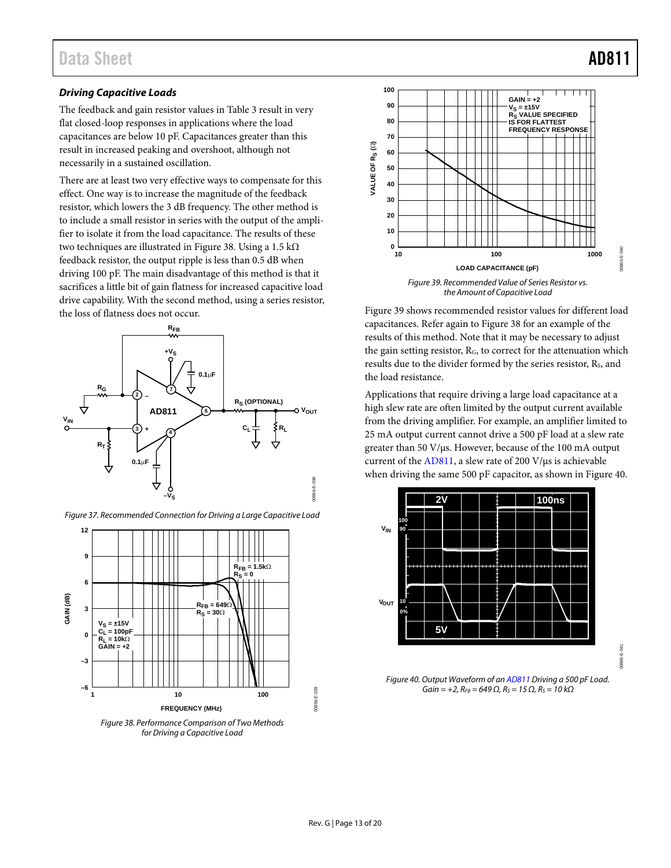## *Driving Capacitive Loads*

The feedback and gain resistor values i[n Table 3](#page-11-3) result in very flat closed-loop responses in applications where the load capacitances are below 10 pF. Capacitances greater than this result in increased peaking and overshoot, although not necessarily in a sustained oscillation.

There are at least two very effective ways to compensate for this effect. One way is to increase the magnitude of the feedback resistor, which lowers the 3 dB frequency. The other method is to include a small resistor in series with the output of the amplifier to isolate it from the load capacitance. The results of these two techniques are illustrated i[n Figure 38.](#page-12-0) Using a 1.5 kΩ feedback resistor, the output ripple is less than 0.5 dB when driving 100 pF. The main disadvantage of this method is that it sacrifices a little bit of gain flatness for increased capacitive load drive capability. With the second method, using a series resistor, the loss of flatness does not occur.





*Figure 37. Recommended Connection for Driving a Large Capacitive Load*

<span id="page-12-0"></span>



<span id="page-12-1"></span>[Figure 39](#page-12-1) shows recommended resistor values for different load capacitances. Refer again t[o Figure 38](#page-12-0) for an example of the results of this method. Note that it may be necessary to adjust the gain setting resistor, RG, to correct for the attenuation which results due to the divider formed by the series resistor, R<sub>S</sub>, and the load resistance.

Applications that require driving a large load capacitance at a high slew rate are often limited by the output current available from the driving amplifier. For example, an amplifier limited to 25 mA output current cannot drive a 500 pF load at a slew rate greater than 50 V/µs. However, because of the 100 mA output current of the [AD811,](http://www.analog.com/AD811?doc=AD811.pdf) a slew rate of 200 V/µs is achievable when driving the same 500 pF capacitor, as shown i[n Figure 40.](#page-12-2)



<span id="page-12-2"></span>*Figure 40. Output Waveform of a[n AD811](http://www.analog.com/AD811?doc=AD811.pdf) Driving a 500 pF Load.*   $Gain = +2$ ,  $R_{FB} = 649 Ω$ ,  $R_S = 15 Ω$ ,  $R_S = 10 kΩ$ 

00866-E-041

ੱਤ 0866-

00866-E-039

0866-E-039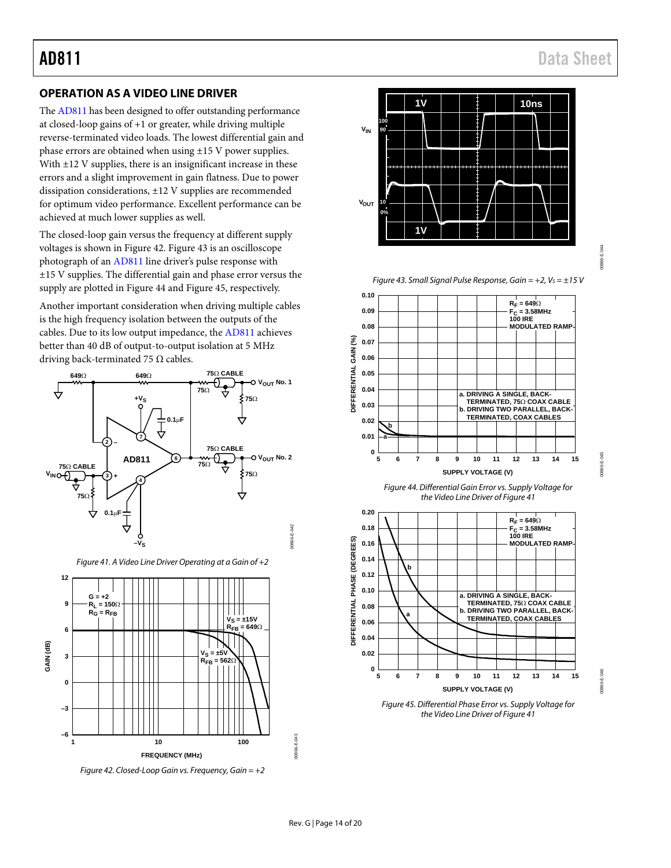## <span id="page-13-0"></span>**OPERATION AS A VIDEO LINE DRIVER**

Th[e AD811](http://www.analog.com/AD811?doc=AD811.pdf) has been designed to offer outstanding performance at closed-loop gains of +1 or greater, while driving multiple reverse-terminated video loads. The lowest differential gain and phase errors are obtained when using ±15 V power supplies. With  $\pm$ 12 V supplies, there is an insignificant increase in these errors and a slight improvement in gain flatness. Due to power dissipation considerations, ±12 V supplies are recommended for optimum video performance. Excellent performance can be achieved at much lower supplies as well.

The closed-loop gain versus the frequency at different supply voltages is shown i[n Figure 42.](#page-13-1) [Figure 43](#page-13-2) is an oscilloscope photograph of a[n AD811](http://www.analog.com/AD811?doc=AD811.pdf) line driver's pulse response with ±15 V supplies. The differential gain and phase error versus the supply are plotted i[n Figure 44](#page-13-3) and [Figure 45,](#page-13-4) respectively.

Another important consideration when driving multiple cables is the high frequency isolation between the outputs of the cables. Due to its low output impedance, th[e AD811](http://www.analog.com/AD811?doc=AD811.pdf) achieves better than 40 dB of output-to-output isolation at 5 MHz driving back-terminated 75  $\Omega$  cables.





<span id="page-13-5"></span><span id="page-13-1"></span>



*Figure 43. Small Signal Pulse Response, Gain = +2, V<sub>S</sub> = ±15 V* 

<span id="page-13-2"></span>



<span id="page-13-3"></span>

<span id="page-13-4"></span>*Figure 45. Differential Phase Error vs. Supply Voltage for the Video Line Driver o[f Figure 41](#page-13-5)*

00866-E-044

10866-

00866-E-045

10866-

00866-E-046

00866-E-043

IO866-E-043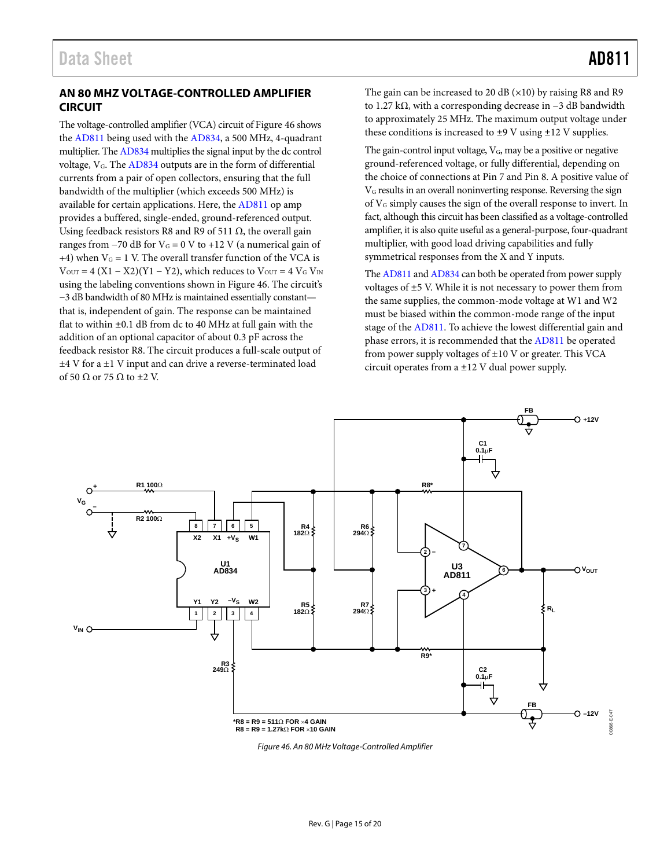## <span id="page-14-0"></span>**AN 80 MHZ VOLTAGE-CONTROLLED AMPLIFIER CIRCUIT**

The voltage-controlled amplifier (VCA) circuit o[f Figure 46 s](#page-14-1)hows the [AD811 b](http://www.analog.com/AD811?doc=AD811.pdf)eing used with the [AD834,](http://www.analog.com/AD834?doc=AD811.pdf) a 500 MHz, 4-quadrant multiplier. Th[e AD834 m](http://www.analog.com/AD834?doc=AD811.pdf)ultiplies the signal input by the dc control voltage, VG. The [AD834 o](http://www.analog.com/AD834?doc=AD811.pdf)utputs are in the form of differential currents from a pair of open collectors, ensuring that the full bandwidth of the multiplier (which exceeds 500 MHz) is available for certain applications. Here, th[e AD811 o](http://www.analog.com/AD811?doc=AD811.pdf)p amp provides a buffered, single-ended, ground-referenced output. Using feedback resistors R8 and R9 of 511  $\Omega$ , the overall gain ranges from  $-70$  dB for  $V<sub>G</sub> = 0$  V to  $+12$  V (a numerical gain of +4) when  $V_G = 1$  V. The overall transfer function of the VCA is  $V_{\text{OUT}} = 4 (X1 - X2)(Y1 - Y2)$ , which reduces to  $V_{\text{OUT}} = 4 V_G V_{\text{IN}}$ using the labeling conventions shown in [Figure 46.](#page-14-1) The circuit's −3 dB bandwidth of 80 MHz is maintained essentially constant that is, independent of gain. The response can be maintained flat to within  $\pm 0.1$  dB from dc to 40 MHz at full gain with the addition of an optional capacitor of about 0.3 pF across the feedback resistor R8. The circuit produces a full-scale output of ±4 V for a ±1 V input and can drive a reverse-terminated load of 50  $\Omega$  or 75  $\Omega$  to  $\pm$ 2 V.

The gain can be increased to 20 dB  $(\times 10)$  by raising R8 and R9 to 1.27 kΩ, with a corresponding decrease in −3 dB bandwidth to approximately 25 MHz. The maximum output voltage under these conditions is increased to  $\pm$ 9 V using  $\pm$ 12 V supplies.

The gain-control input voltage, V<sub>G</sub>, may be a positive or negative ground-referenced voltage, or fully differential, depending on the choice of connections at Pin 7 and Pin 8. A positive value of VG results in an overall noninverting response. Reversing the sign of VG simply causes the sign of the overall response to invert. In fact, although this circuit has been classified as a voltage-controlled amplifier, it is also quite useful as a general-purpose, four-quadrant multiplier, with good load driving capabilities and fully symmetrical responses from the X and Y inputs.

Th[e AD811 a](http://www.analog.com/AD811?doc=AD811.pdf)n[d AD834 c](http://www.analog.com/AD834?doc=AD811.pdf)an both be operated from power supply voltages of  $\pm$ 5 V. While it is not necessary to power them from the same supplies, the common-mode voltage at W1 and W2 must be biased within the common-mode range of the input stage of the [AD811.](http://www.analog.com/AD811?doc=AD811.pdf) To achieve the lowest differential gain and phase errors, it is recommended that the [AD811](http://www.analog.com/AD811?doc=AD811.pdf) be operated from power supply voltages of ±10 V or greater. This VCA circuit operates from a ±12 V dual power supply.



<span id="page-14-1"></span>Figure 46. An 80 MHz Voltage-Controlled Amplifier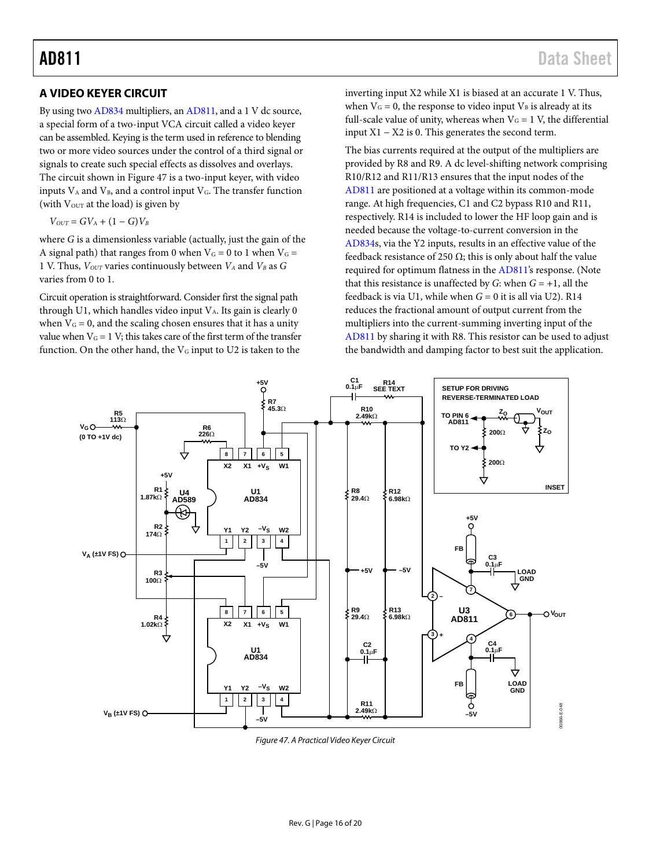## <span id="page-15-0"></span>**A VIDEO KEYER CIRCUIT**

By using two [AD834](http://www.analog.com/AD834?doc=AD811.pdf) multipliers, a[n AD811,](http://www.analog.com/AD811?doc=AD811.pdf) and a 1 V dc source, a special form of a two-input VCA circuit called a video keyer can be assembled. Keying is the term used in reference to blending two or more video sources under the control of a third signal or signals to create such special effects as dissolves and overlays. The circuit shown i[n Figure 47](#page-15-1) is a two-input keyer, with video inputs  $V_A$  and  $V_B$ , and a control input  $V_G$ . The transfer function (with  $V<sub>OUT</sub>$  at the load) is given by

 $V_{OUT} = GV_A + (1 - G)V_B$ 

where *G* is a dimensionless variable (actually, just the gain of the A signal path) that ranges from 0 when  $V<sub>G</sub> = 0$  to 1 when  $V<sub>G</sub> =$ 1 V. Thus,  $V_{OUT}$  varies continuously between  $V_A$  and  $V_B$  as  $G$ varies from 0 to 1.

Circuit operation is straightforward. Consider first the signal path through U1, which handles video input  $V_A$ . Its gain is clearly 0 when  $V_G = 0$ , and the scaling chosen ensures that it has a unity value when  $V_G = 1$  V; this takes care of the first term of the transfer function. On the other hand, the  $V_G$  input to U2 is taken to the

inverting input X2 while X1 is biased at an accurate 1 V. Thus, when  $V_G = 0$ , the response to video input  $V_B$  is already at its full-scale value of unity, whereas when  $V_G = 1$  V, the differential input  $X1 - X2$  is 0. This generates the second term.

The bias currents required at the output of the multipliers are provided by R8 and R9. A dc level-shifting network comprising R10/R12 and R11/R13 ensures that the input nodes of the [AD811](http://www.analog.com/AD811?doc=AD811.pdf) are positioned at a voltage within its common-mode range. At high frequencies, C1 and C2 bypass R10 and R11, respectively. R14 is included to lower the HF loop gain and is needed because the voltage-to-current conversion in the [AD834s](http://www.analog.com/AD834?doc=AD811.pdf), via the Y2 inputs, results in an effective value of the feedback resistance of 250  $\Omega$ ; this is only about half the value required for optimum flatness in the [AD811's](http://www.analog.com/AD811?doc=AD811.pdf) response. (Note that this resistance is unaffected by *G*: when  $G = +1$ , all the feedback is via U1, while when *G* = 0 it is all via U2). R14 reduces the fractional amount of output current from the multipliers into the current-summing inverting input of the [AD811](http://www.analog.com/AD811?doc=AD811.pdf) by sharing it with R8. This resistor can be used to adjust the bandwidth and damping factor to best suit the application.



<span id="page-15-1"></span>*Figure 47. A Practical Video Keyer Circuit*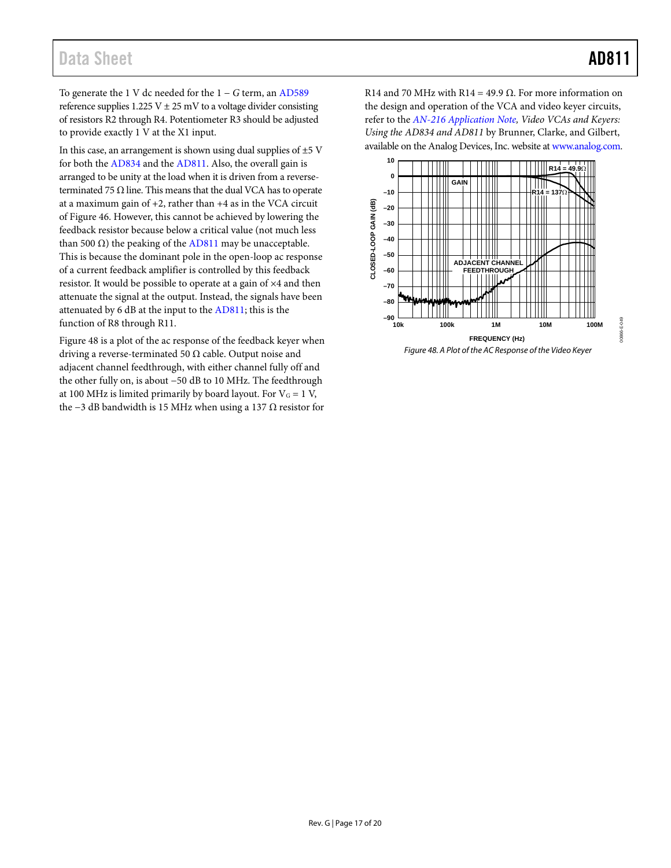00866-E-049

IQ866-E-049

## Data Sheet **AD811**

To generate the 1 V dc needed for the 1 − *G* term, an [AD589](http://www.analog.com/AD589?doc=AD811.pdf) reference supplies  $1.225$  V  $\pm$  25 mV to a voltage divider consisting of resistors R2 through R4. Potentiometer R3 should be adjusted to provide exactly 1 V at the X1 input.

In this case, an arrangement is shown using dual supplies of  $\pm$ 5 V for both the [AD834](http://www.analog.com/AD834?doc=AD811.pdf) and the [AD811.](http://www.analog.com/AD811?doc=AD811.pdf) Also, the overall gain is arranged to be unity at the load when it is driven from a reverseterminated 75  $\Omega$  line. This means that the dual VCA has to operate at a maximum gain of +2, rather than +4 as in the VCA circuit o[f Figure 46.](#page-14-1) However, this cannot be achieved by lowering the feedback resistor because below a critical value (not much less than 500 Ω) the peaking of the [AD811](http://www.analog.com/AD811?doc=AD811.pdf) may be unacceptable. This is because the dominant pole in the open-loop ac response of a current feedback amplifier is controlled by this feedback resistor. It would be possible to operate at a gain of ×4 and then attenuate the signal at the output. Instead, the signals have been attenuated by 6 dB at the input to the [AD811;](http://www.analog.com/AD811?doc=AD811.pdf) this is the function of R8 through R11.

[Figure 48](#page-16-0) is a plot of the ac response of the feedback keyer when driving a reverse-terminated 50  $\Omega$  cable. Output noise and adjacent channel feedthrough, with either channel fully off and the other fully on, is about −50 dB to 10 MHz. The feedthrough at 100 MHz is limited primarily by board layout. For  $V<sub>G</sub> = 1 V$ , the −3 dB bandwidth is 15 MHz when using a 137  $Ω$  resistor for R14 and 70 MHz with R14 = 49.9  $\Omega$ . For more information on the design and operation of the VCA and video keyer circuits, refer to the *[AN-216 Application Note,](http://analog.com/AN-216?doc=AD811.pdf) Video VCAs and Keyers: Using the AD834 and AD811* by Brunner, Clarke, and Gilbert, available on the Analog Devices, Inc. website a[t www.analog.com.](http://www.analog.com)



<span id="page-16-0"></span>*Figure 48. A Plot of the AC Response of the Video Keyer*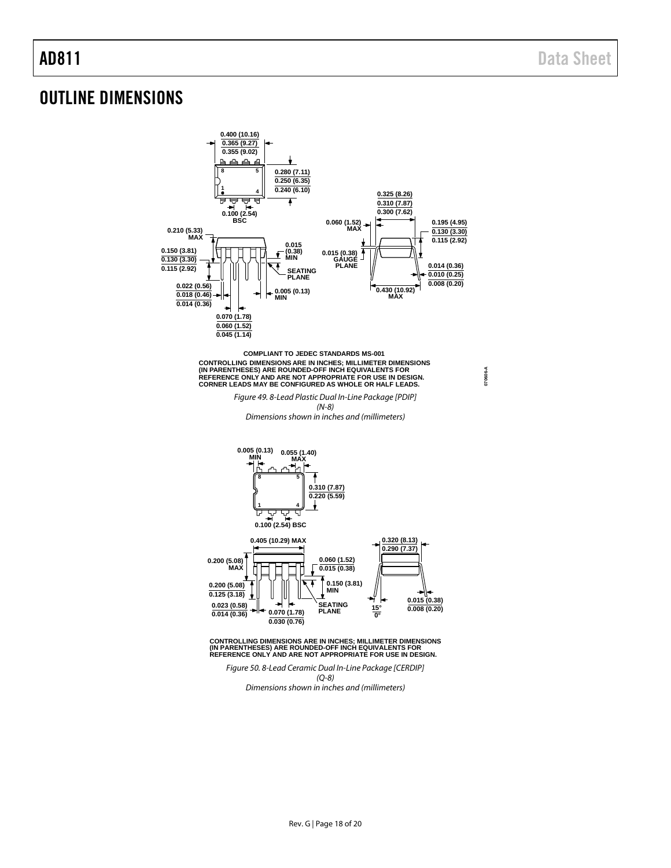**070606-A**

## <span id="page-17-0"></span>OUTLINE DIMENSIONS



**COMPLIANT TO JEDEC STANDARDS MS-001 CONTROLLING DIMENSIONS ARE IN INCHES; MILLIMETER DIMENSIONS (IN PARENTHESES) ARE ROUNDED-OFF INCH EQUIVALENTS FOR REFERENCE ONLY AND ARE NOT APPROPRIATE FOR USE IN DESIGN. CORNER LEADS MAY BE CONFIGURED AS WHOLE OR HALF LEADS.**

> Figure 49. 8-Lead Plastic Dual In-Line Package [PDIP] (N-8)

Dimensions shown in inches and (millimeters)



CONTROLLING DIMENSIONS ARE IN INCHES; MILLIMETER DIMENSIONS<br>(IN PARENTHESES) ARE ROUNDED-OFF INCH EQUIVALENTS FOR<br>REFERENCE ONLY AND ARE NOT APPROPRIATE FOR USE IN DESIGN.

Figure 50. 8-Lead Ceramic Dual In-Line Package [CERDIP] (Q-8)

Dimensions shown in inches and (millimeters)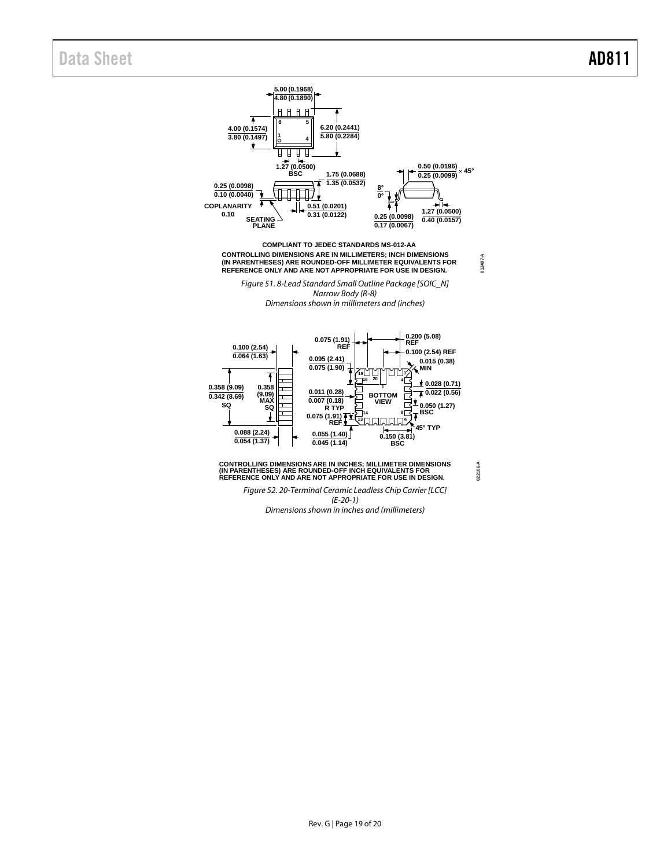